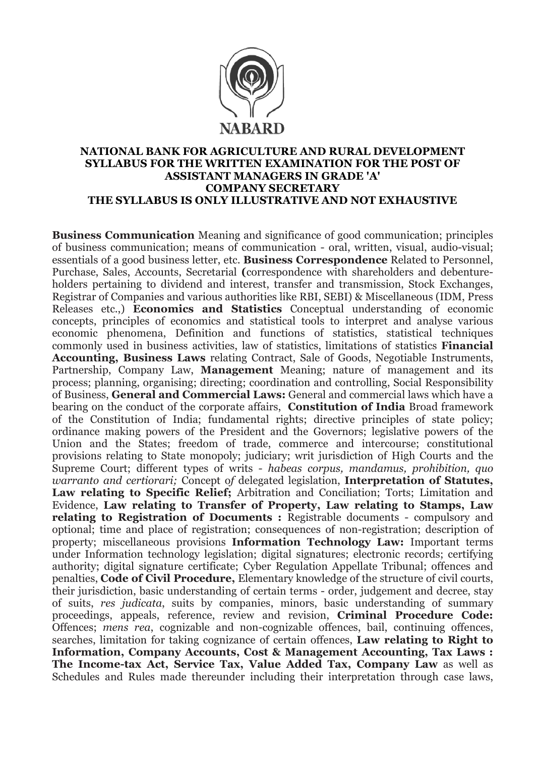

## NATIONAL BANK FOR AGRICULTURE AND RURAL DEVELOPMENT SYLLABUS FOR THE WRITTEN EXAMINATION FOR THE POST OF ASSISTANT MANAGERS IN GRADE 'A' COMPANY SECRETARY THE SYLLABUS IS ONLY ILLUSTRATIVE AND NOT EXHAUSTIVE

Business Communication Meaning and significance of good communication; principles of business communication; means of communication - oral, written, visual, audio-visual; essentials of a good business letter, etc. Business Correspondence Related to Personnel, Purchase, Sales, Accounts, Secretarial (correspondence with shareholders and debentureholders pertaining to dividend and interest, transfer and transmission, Stock Exchanges, Registrar of Companies and various authorities like RBI, SEBI) & Miscellaneous (IDM, Press Releases etc.,) Economics and Statistics Conceptual understanding of economic concepts, principles of economics and statistical tools to interpret and analyse various economic phenomena, Definition and functions of statistics, statistical techniques commonly used in business activities, law of statistics, limitations of statistics Financial Accounting, Business Laws relating Contract, Sale of Goods, Negotiable Instruments, Partnership, Company Law, Management Meaning; nature of management and its process; planning, organising; directing; coordination and controlling, Social Responsibility of Business, General and Commercial Laws: General and commercial laws which have a bearing on the conduct of the corporate affairs, **Constitution of India** Broad framework of the Constitution of India; fundamental rights; directive principles of state policy; ordinance making powers of the President and the Governors; legislative powers of the Union and the States; freedom of trade, commerce and intercourse; constitutional provisions relating to State monopoly; judiciary; writ jurisdiction of High Courts and the Supreme Court; different types of writs - *habeas corpus, mandamus, prohibition, quo warranto and certiorari;* Concept o*f* delegated legislation, Interpretation of Statutes, Law relating to Specific Relief; Arbitration and Conciliation; Torts; Limitation and Evidence, Law relating to Transfer of Property, Law relating to Stamps, Law relating to Registration of Documents : Registrable documents - compulsory and optional; time and place of registration; consequences of non-registration; description of property; miscellaneous provisions Information Technology Law: Important terms under Information technology legislation; digital signatures; electronic records; certifying authority; digital signature certificate; Cyber Regulation Appellate Tribunal; offences and penalties, Code of Civil Procedure, Elementary knowledge of the structure of civil courts, their jurisdiction, basic understanding of certain terms - order, judgement and decree, stay of suits, *res judicata*, suits by companies, minors, basic understanding of summary proceedings, appeals, reference, review and revision, Criminal Procedure Code: Offences; *mens rea*, cognizable and non-cognizable offences, bail, continuing offences, searches, limitation for taking cognizance of certain offences, **Law relating to Right to** Information, Company Accounts, Cost & Management Accounting, Tax Laws : The Income-tax Act, Service Tax, Value Added Tax, Company Law as well as Schedules and Rules made thereunder including their interpretation through case laws,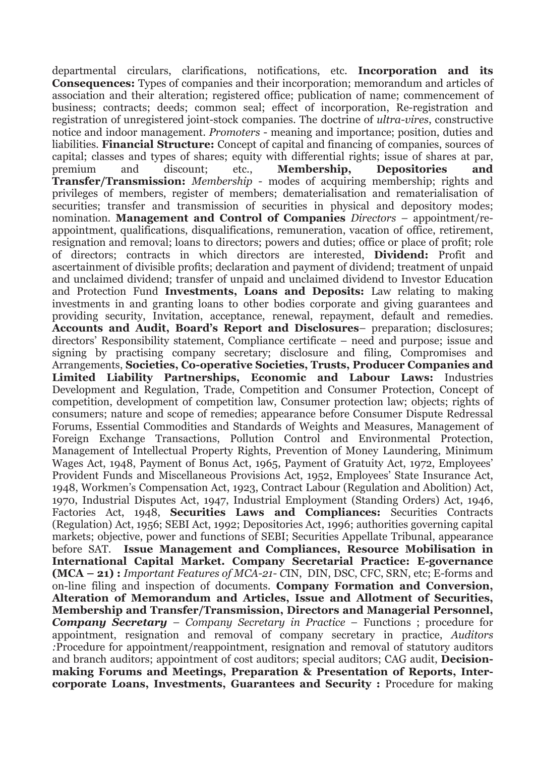departmental circulars, clarifications, notifications, etc. Incorporation and its Consequences: Types of companies and their incorporation; memorandum and articles of association and their alteration; registered office; publication of name; commencement of business; contracts; deeds; common seal; effect of incorporation, Re-registration and registration of unregistered joint-stock companies. The doctrine of *ultra-vires*, constructive notice and indoor management. *Promoters* - meaning and importance; position, duties and liabilities. Financial Structure: Concept of capital and financing of companies, sources of capital; classes and types of shares; equity with differential rights; issue of shares at par, premium and discount; etc., Membership, Depositories and Transfer/Transmission: *Membership* - modes of acquiring membership; rights and privileges of members, register of members; dematerialisation and rematerialisation of securities; transfer and transmission of securities in physical and depository modes; nomination. Management and Control of Companies *Directors* – appointment/reappointment, qualifications, disqualifications, remuneration, vacation of office, retirement, resignation and removal; loans to directors; powers and duties; office or place of profit; role of directors; contracts in which directors are interested, Dividend: Profit and ascertainment of divisible profits; declaration and payment of dividend; treatment of unpaid and unclaimed dividend; transfer of unpaid and unclaimed dividend to Investor Education and Protection Fund Investments, Loans and Deposits: Law relating to making investments in and granting loans to other bodies corporate and giving guarantees and providing security, Invitation, acceptance, renewal, repayment, default and remedies. Accounts and Audit, Board's Report and Disclosures– preparation; disclosures; directors' Responsibility statement, Compliance certificate – need and purpose; issue and signing by practising company secretary; disclosure and filing, Compromises and Arrangements, Societies, Co-operative Societies, Trusts, Producer Companies and Limited Liability Partnerships, Economic and Labour Laws: Industries Development and Regulation, Trade, Competition and Consumer Protection, Concept of competition, development of competition law, Consumer protection law; objects; rights of consumers; nature and scope of remedies; appearance before Consumer Dispute Redressal Forums, Essential Commodities and Standards of Weights and Measures, Management of Foreign Exchange Transactions, Pollution Control and Environmental Protection, Management of Intellectual Property Rights, Prevention of Money Laundering, Minimum Wages Act, 1948, Payment of Bonus Act, 1965, Payment of Gratuity Act, 1972, Employees' Provident Funds and Miscellaneous Provisions Act, 1952, Employees' State Insurance Act, 1948, Workmen's Compensation Act, 1923, Contract Labour (Regulation and Abolition) Act, 1970, Industrial Disputes Act, 1947, Industrial Employment (Standing Orders) Act, 1946, Factories Act, 1948, Securities Laws and Compliances: Securities Contracts (Regulation) Act, 1956; SEBI Act, 1992; Depositories Act, 1996; authorities governing capital markets; objective, power and functions of SEBI; Securities Appellate Tribunal, appearance before SAT. Issue Management and Compliances, Resource Mobilisation in International Capital Market. Company Secretarial Practice: E-governance (MCA – 21) : *Important Features of MCA-21- C*IN, DIN, DSC, CFC, SRN, etc; E-forms and on-line filing and inspection of documents. Company Formation and Conversion, Alteration of Memorandum and Articles, Issue and Allotment of Securities, Membership and Transfer/Transmission, Directors and Managerial Personnel, *Company Secretary* – *Company Secretary in Practice* – Functions ; procedure for appointment, resignation and removal of company secretary in practice, *Auditors :*Procedure for appointment/reappointment, resignation and removal of statutory auditors and branch auditors; appointment of cost auditors; special auditors; CAG audit, **Decision**making Forums and Meetings, Preparation & Presentation of Reports, Intercorporate Loans, Investments, Guarantees and Security : Procedure for making